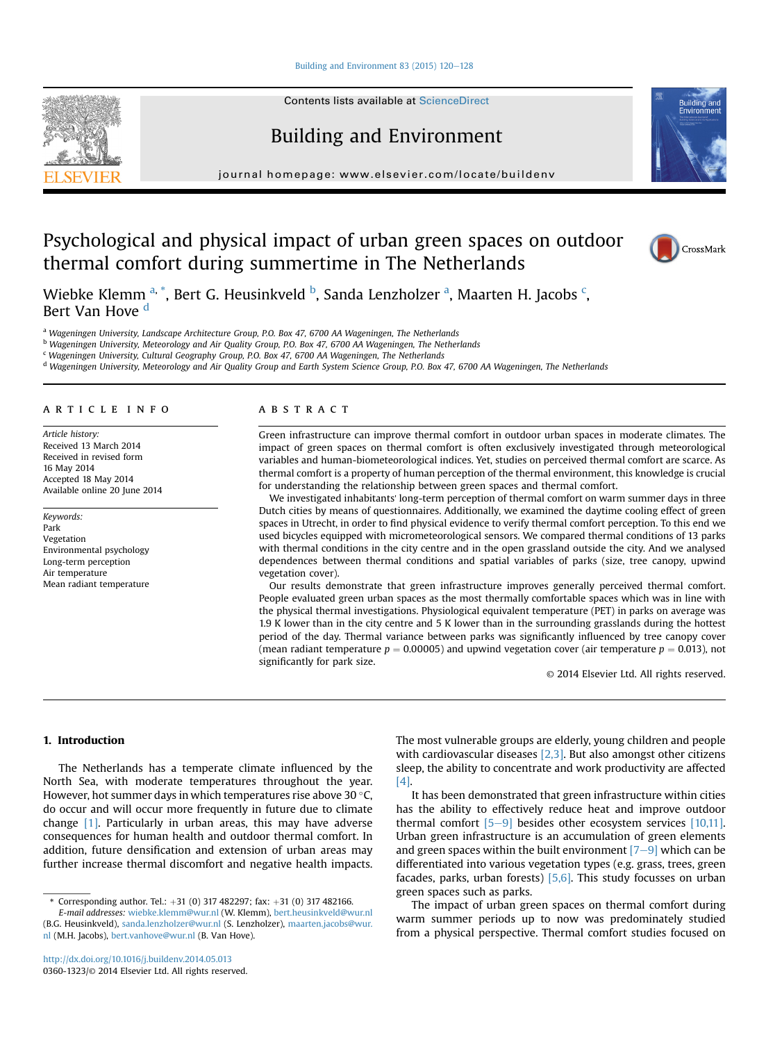#### Building and Environment 83 (2015)  $120-128$  $120-128$

Contents lists available at [ScienceDirect](www.sciencedirect.com/science/journal/03601323)

## Building and Environment

journal homepage: [www.elsevier.com/locate/buildenv](http://www.elsevier.com/locate/buildenv)

# Psychological and physical impact of urban green spaces on outdoor thermal comfort during summertime in The Netherlands



**Puildin** 

Wiebke Klemm <sup>a, \*</sup>, Bert G. Heusinkveld <sup>b</sup>, Sanda Lenzholzer <sup>a</sup>, Maarten H. Jacobs <sup>c</sup>, Bert Van Hove <sup>d</sup>

a Wageningen University, Landscape Architecture Group, P.O. Box 47, 6700 AA Wageningen, The Netherlands

<sup>b</sup> Wageningen University, Meteorology and Air Quality Group, P.O. Box 47, 6700 AA Wageningen, The Netherlands

<sup>c</sup> Wageningen University, Cultural Geography Group, P.O. Box 47, 6700 AA Wageningen, The Netherlands

<sup>d</sup> Wageningen University, Meteorology and Air Quality Group and Earth System Science Group, P.O. Box 47, 6700 AA Wageningen, The Netherlands

#### article info

Article history: Received 13 March 2014 Received in revised form 16 May 2014 Accepted 18 May 2014 Available online 20 June 2014

Keywords: Park Vegetation Environmental psychology Long-term perception Air temperature Mean radiant temperature

#### **ABSTRACT**

Green infrastructure can improve thermal comfort in outdoor urban spaces in moderate climates. The impact of green spaces on thermal comfort is often exclusively investigated through meteorological variables and human-biometeorological indices. Yet, studies on perceived thermal comfort are scarce. As thermal comfort is a property of human perception of the thermal environment, this knowledge is crucial for understanding the relationship between green spaces and thermal comfort.

We investigated inhabitants' long-term perception of thermal comfort on warm summer days in three Dutch cities by means of questionnaires. Additionally, we examined the daytime cooling effect of green spaces in Utrecht, in order to find physical evidence to verify thermal comfort perception. To this end we used bicycles equipped with micrometeorological sensors. We compared thermal conditions of 13 parks with thermal conditions in the city centre and in the open grassland outside the city. And we analysed dependences between thermal conditions and spatial variables of parks (size, tree canopy, upwind vegetation cover).

Our results demonstrate that green infrastructure improves generally perceived thermal comfort. People evaluated green urban spaces as the most thermally comfortable spaces which was in line with the physical thermal investigations. Physiological equivalent temperature (PET) in parks on average was 1.9 K lower than in the city centre and 5 K lower than in the surrounding grasslands during the hottest period of the day. Thermal variance between parks was significantly influenced by tree canopy cover (mean radiant temperature  $p = 0.00005$ ) and upwind vegetation cover (air temperature  $p = 0.013$ ), not significantly for park size.

© 2014 Elsevier Ltd. All rights reserved.

## 1. Introduction

The Netherlands has a temperate climate influenced by the North Sea, with moderate temperatures throughout the year. However, hot summer days in which temperatures rise above 30  $^{\circ}$ C, do occur and will occur more frequently in future due to climate change [1]. Particularly in urban areas, this may have adverse consequences for human health and outdoor thermal comfort. In addition, future densification and extension of urban areas may further increase thermal discomfort and negative health impacts. The most vulnerable groups are elderly, young children and people with cardiovascular diseases  $[2,3]$ . But also amongst other citizens sleep, the ability to concentrate and work productivity are affected [4].

It has been demonstrated that green infrastructure within cities has the ability to effectively reduce heat and improve outdoor thermal comfort  $[5-9]$  besides other ecosystem services  $[10,11]$ . Urban green infrastructure is an accumulation of green elements and green spaces within the built environment  $[7-9]$  which can be differentiated into various vegetation types (e.g. grass, trees, green facades, parks, urban forests)  $[5,6]$ . This study focusses on urban green spaces such as parks.

The impact of urban green spaces on thermal comfort during warm summer periods up to now was predominately studied from a physical perspective. Thermal comfort studies focused on



<sup>\*</sup> Corresponding author. Tel.:  $+31$  (0) 317 482297; fax:  $+31$  (0) 317 482166.

E-mail addresses: [wiebke.klemm@wur.nl](mailto:wiebke.klemm@wur.nl) (W. Klemm), [bert.heusinkveld@wur.nl](mailto:bert.heusinkveld@wur.nl) (B.G. Heusinkveld), [sanda.lenzholzer@wur.nl](mailto:sanda.lenzholzer@wur.nl) (S. Lenzholzer), [maarten.jacobs@wur.](mailto:maarten.jacobs@wur.nl) [nl](mailto:maarten.jacobs@wur.nl) (M.H. Jacobs), [bert.vanhove@wur.nl](mailto:bert.vanhove@wur.nl) (B. Van Hove).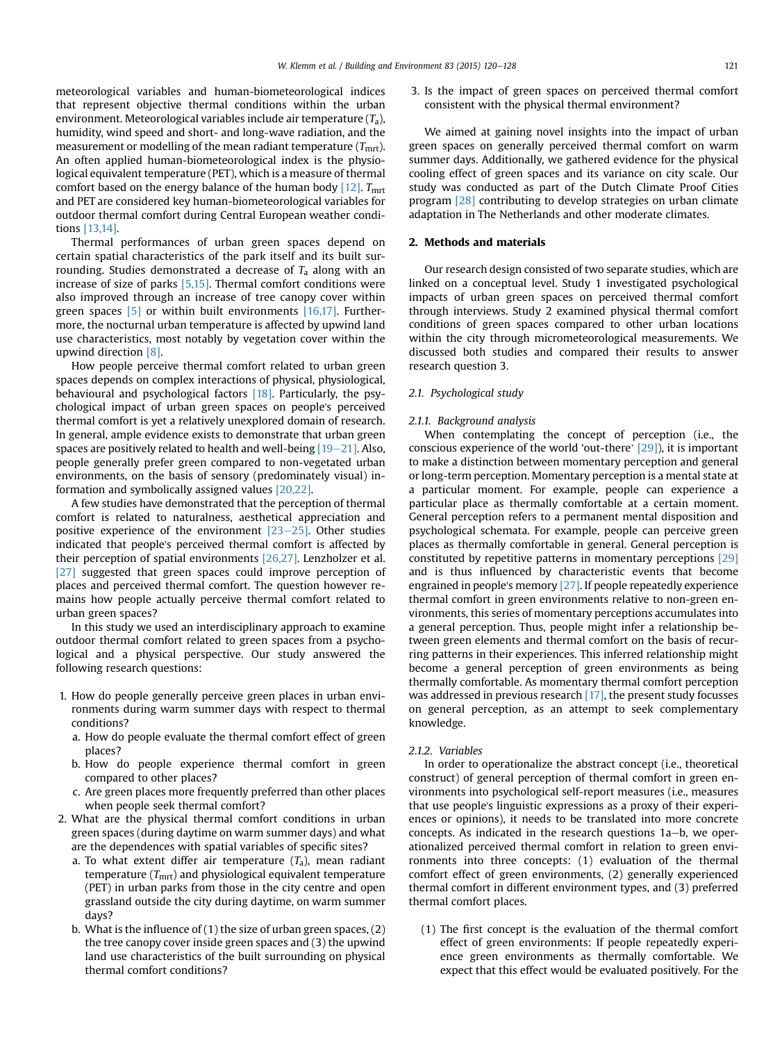meteorological variables and human-biometeorological indices that represent objective thermal conditions within the urban environment. Meteorological variables include air temperature  $(T_a)$ , humidity, wind speed and short- and long-wave radiation, and the measurement or modelling of the mean radiant temperature  $(T<sub>mrt</sub>)$ . An often applied human-biometeorological index is the physiological equivalent temperature (PET), which is a measure of thermal comfort based on the energy balance of the human body  $[12]$ .  $T<sub>mrt</sub>$ and PET are considered key human-biometeorological variables for outdoor thermal comfort during Central European weather conditions [13,14].

Thermal performances of urban green spaces depend on certain spatial characteristics of the park itself and its built surrounding. Studies demonstrated a decrease of  $T_a$  along with an increase of size of parks [5,15]. Thermal comfort conditions were also improved through an increase of tree canopy cover within green spaces  $\begin{bmatrix} 5 \end{bmatrix}$  or within built environments  $\begin{bmatrix} 16,17 \end{bmatrix}$ . Furthermore, the nocturnal urban temperature is affected by upwind land use characteristics, most notably by vegetation cover within the upwind direction [8].

How people perceive thermal comfort related to urban green spaces depends on complex interactions of physical, physiological, behavioural and psychological factors [18]. Particularly, the psychological impact of urban green spaces on people's perceived thermal comfort is yet a relatively unexplored domain of research. In general, ample evidence exists to demonstrate that urban green spaces are positively related to health and well-being  $[19-21]$ . Also, people generally prefer green compared to non-vegetated urban environments, on the basis of sensory (predominately visual) information and symbolically assigned values [20,22].

A few studies have demonstrated that the perception of thermal comfort is related to naturalness, aesthetical appreciation and positive experience of the environment  $[23-25]$ . Other studies indicated that people's perceived thermal comfort is affected by their perception of spatial environments [26,27]. Lenzholzer et al. [27] suggested that green spaces could improve perception of places and perceived thermal comfort. The question however remains how people actually perceive thermal comfort related to urban green spaces?

In this study we used an interdisciplinary approach to examine outdoor thermal comfort related to green spaces from a psychological and a physical perspective. Our study answered the following research questions:

- 1. How do people generally perceive green places in urban environments during warm summer days with respect to thermal conditions?
	- a. How do people evaluate the thermal comfort effect of green places?
	- b. How do people experience thermal comfort in green compared to other places?
	- c. Are green places more frequently preferred than other places when people seek thermal comfort?
- 2. What are the physical thermal comfort conditions in urban green spaces (during daytime on warm summer days) and what are the dependences with spatial variables of specific sites?
	- a. To what extent differ air temperature  $(T_a)$ , mean radiant temperature  $(T<sub>mrt</sub>)$  and physiological equivalent temperature (PET) in urban parks from those in the city centre and open grassland outside the city during daytime, on warm summer days?
	- b. What is the influence of  $(1)$  the size of urban green spaces,  $(2)$ the tree canopy cover inside green spaces and (3) the upwind land use characteristics of the built surrounding on physical thermal comfort conditions?

3. Is the impact of green spaces on perceived thermal comfort consistent with the physical thermal environment?

We aimed at gaining novel insights into the impact of urban green spaces on generally perceived thermal comfort on warm summer days. Additionally, we gathered evidence for the physical cooling effect of green spaces and its variance on city scale. Our study was conducted as part of the Dutch Climate Proof Cities program [28] contributing to develop strategies on urban climate adaptation in The Netherlands and other moderate climates.

#### 2. Methods and materials

Our research design consisted of two separate studies, which are linked on a conceptual level. Study 1 investigated psychological impacts of urban green spaces on perceived thermal comfort through interviews. Study 2 examined physical thermal comfort conditions of green spaces compared to other urban locations within the city through micrometeorological measurements. We discussed both studies and compared their results to answer research question 3.

### 2.1. Psychological study

#### 2.1.1. Background analysis

When contemplating the concept of perception (i.e., the conscious experience of the world 'out-there' [29]), it is important to make a distinction between momentary perception and general or long-term perception. Momentary perception is a mental state at a particular moment. For example, people can experience a particular place as thermally comfortable at a certain moment. General perception refers to a permanent mental disposition and psychological schemata. For example, people can perceive green places as thermally comfortable in general. General perception is constituted by repetitive patterns in momentary perceptions [29] and is thus influenced by characteristic events that become engrained in people's memory [27]. If people repeatedly experience thermal comfort in green environments relative to non-green environments, this series of momentary perceptions accumulates into a general perception. Thus, people might infer a relationship between green elements and thermal comfort on the basis of recurring patterns in their experiences. This inferred relationship might become a general perception of green environments as being thermally comfortable. As momentary thermal comfort perception was addressed in previous research [17], the present study focusses on general perception, as an attempt to seek complementary knowledge.

#### 2.1.2. Variables

In order to operationalize the abstract concept (i.e., theoretical construct) of general perception of thermal comfort in green environments into psychological self-report measures (i.e., measures that use people's linguistic expressions as a proxy of their experiences or opinions), it needs to be translated into more concrete concepts. As indicated in the research questions  $1a-b$ , we operationalized perceived thermal comfort in relation to green environments into three concepts: (1) evaluation of the thermal comfort effect of green environments, (2) generally experienced thermal comfort in different environment types, and (3) preferred thermal comfort places.

(1) The first concept is the evaluation of the thermal comfort effect of green environments: If people repeatedly experience green environments as thermally comfortable. We expect that this effect would be evaluated positively. For the